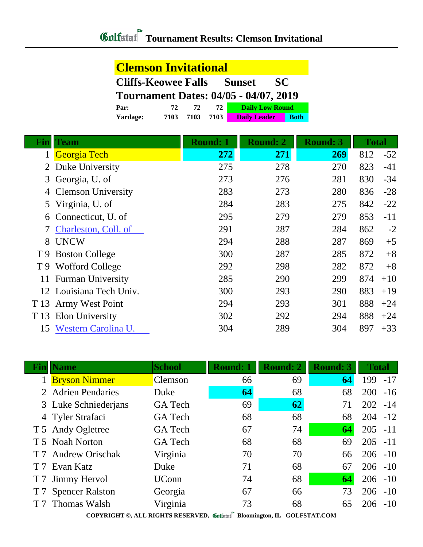## **Clemson Invitational Cliffs-Keowee Falls Sunset SC**

| <b>Tournament Dates: 04/05 - 04/07, 2019</b> |      |      |      |                        |             |  |
|----------------------------------------------|------|------|------|------------------------|-------------|--|
| Par:                                         | 72.  | 72.  | 72.  | <b>Daily Low Round</b> |             |  |
| Yardage:                                     | 7103 | 7103 | 7103 | <b>Daily Leader</b>    | <b>Both</b> |  |

| Fin            | <b>Team</b>               | <b>Round: 1</b> | <b>Round: 2</b> | <b>Round: 3</b> | <b>Total</b> |       |
|----------------|---------------------------|-----------------|-----------------|-----------------|--------------|-------|
|                | Georgia Tech              | 272             | 271             | 269             | 812          | $-52$ |
| $\overline{2}$ | Duke University           | 275             | 278             | 270             | 823          | $-41$ |
| 3              | Georgia, U. of            | 273             | 276             | 281             | 830          | $-34$ |
| 4              | <b>Clemson University</b> | 283             | 273             | 280             | 836          | $-28$ |
| 5              | Virginia, U. of           | 284             | 283             | 275             | 842          | $-22$ |
| 6              | Connecticut, U. of        | 295             | 279             | 279             | 853          | $-11$ |
|                | Charleston, Coll. of      | 291             | 287             | 284             | 862          | $-2$  |
| 8              | <b>UNCW</b>               | 294             | 288             | 287             | 869          | $+5$  |
| T 9            | <b>Boston College</b>     | 300             | 287             | 285             | 872          | $+8$  |
|                | T 9 Wofford College       | 292             | 298             | 282             | 872          | $+8$  |
| 11             | <b>Furman University</b>  | 285             | 290             | 299             | 874          | $+10$ |
|                | 12 Louisiana Tech Univ.   | 300             | 293             | 290             | 883          | $+19$ |
| T 13           | <b>Army West Point</b>    | 294             | 293             | 301             | 888          | $+24$ |
| T 13           | Elon University           | 302             | 292             | 294             | 888          | $+24$ |
| 15             | Western Carolina U.       | 304             | 289             | 304             | 897          | $+33$ |

|                                                                                                      | <b>Name</b>            | <b>School</b>  | <b>Round: 1</b> | <b>Round: 2</b> | <b>Round: 3</b> | <b>Total</b> |
|------------------------------------------------------------------------------------------------------|------------------------|----------------|-----------------|-----------------|-----------------|--------------|
|                                                                                                      | <b>Bryson Nimmer</b>   | Clemson        | 66              | 69              | 64              | $-17$<br>199 |
|                                                                                                      | 2 Adrien Pendaries     | Duke           | 64              | 68              | 68              | 200<br>$-16$ |
|                                                                                                      | 3 Luke Schniederjans   | GA Tech        | 69              | 62              | 71              | 202<br>$-14$ |
|                                                                                                      | 4 Tyler Strafaci       | <b>GA</b> Tech | 68              | 68              | 68              | $204 - 12$   |
|                                                                                                      | T 5 Andy Ogletree      | <b>GA</b> Tech | 67              | 74              | 64              | $205 - 11$   |
|                                                                                                      | T 5 Noah Norton        | <b>GA</b> Tech | 68              | 68              | 69              | 205<br>$-11$ |
|                                                                                                      | <b>Andrew Orischak</b> | Virginia       | 70              | 70              | 66              | $206 - 10$   |
| T 7                                                                                                  | Evan Katz              | Duke           | 71              | 68              | 67              | $206 - 10$   |
| T <sub>7</sub>                                                                                       | <b>Jimmy Hervol</b>    | <b>UConn</b>   | 74              | 68              | 64              | $-10$<br>206 |
|                                                                                                      | <b>Spencer Ralston</b> | Georgia        | 67              | 66              | 73              | $-10$<br>206 |
|                                                                                                      | T 7 Thomas Walsh       | Virginia       | 73              | 68              | 65              | $-10$<br>206 |
| $CONUMIING \otimes \downarrow I$ I DICUTE DESERVED.<br>40.101<br>$\mathbf{m}$<br>$COT$ pop $ID$ $CQ$ |                        |                |                 |                 |                 |              |

**COPYRIGHT ©, ALL RIGHTS RESERVED, Bloomington, IL GOLFSTAT.COM**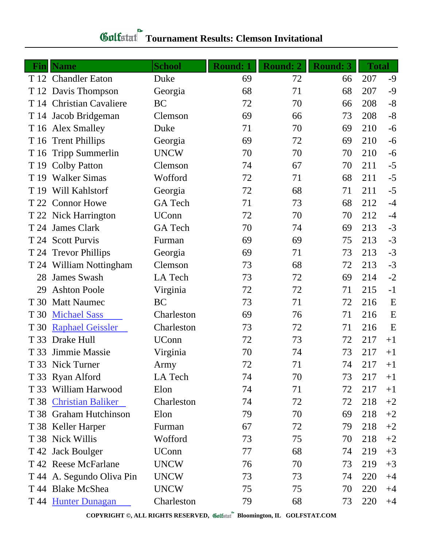## **Gulfatat** Tournament Results: Clemson Invitational

|      | <b>Fin</b> Name           | <b>School</b> | <b>Round: 1</b> | <b>Round: 2</b> | <b>Round: 3</b> | <b>Total</b> |      |
|------|---------------------------|---------------|-----------------|-----------------|-----------------|--------------|------|
|      | T 12 Chandler Eaton       | Duke          | 69              | 72              | 66              | 207          | $-9$ |
|      | T 12 Davis Thompson       | Georgia       | 68              | 71              | 68              | 207          | $-9$ |
|      | T 14 Christian Cavaliere  | <b>BC</b>     | 72              | 70              | 66              | 208          | $-8$ |
| T 14 | Jacob Bridgeman           | Clemson       | 69              | 66              | 73              | 208          | $-8$ |
| T 16 | <b>Alex Smalley</b>       | Duke          | 71              | 70              | 69              | 210          | $-6$ |
| T 16 | <b>Trent Phillips</b>     | Georgia       | 69              | 72              | 69              | 210          | $-6$ |
| T 16 | <b>Tripp Summerlin</b>    | <b>UNCW</b>   | 70              | 70              | 70              | 210          | $-6$ |
| T 19 | <b>Colby Patton</b>       | Clemson       | 74              | 67              | 70              | 211          | $-5$ |
| T 19 | <b>Walker Simas</b>       | Wofford       | 72              | 71              | 68              | 211          | $-5$ |
| T 19 | Will Kahlstorf            | Georgia       | 72              | 68              | 71              | 211          | $-5$ |
|      | T 22 Connor Howe          | GA Tech       | 71              | 73              | 68              | 212          | $-4$ |
|      | T 22 Nick Harrington      | <b>UConn</b>  | 72              | 70              | 70              | 212          | $-4$ |
| T 24 | James Clark               | GA Tech       | 70              | 74              | 69              | 213          | $-3$ |
| T 24 | <b>Scott Purvis</b>       | Furman        | 69              | 69              | 75              | 213          | $-3$ |
|      | T 24 Trevor Phillips      | Georgia       | 69              | 71              | 73              | 213          | $-3$ |
|      | T 24 William Nottingham   | Clemson       | 73              | 68              | 72              | 213          | $-3$ |
| 28   | <b>James Swash</b>        | LA Tech       | 73              | 72              | 69              | 214          | $-2$ |
| 29   | <b>Ashton Poole</b>       | Virginia      | 72              | 72              | 71              | 215          | $-1$ |
| T 30 | <b>Matt Naumec</b>        | <b>BC</b>     | 73              | 71              | 72              | 216          | E    |
| T 30 | <b>Michael Sass</b>       | Charleston    | 69              | 76              | 71              | 216          | E    |
| T 30 | <b>Raphael Geissler</b>   | Charleston    | 73              | 72              | 71              | 216          | E    |
| T 33 | Drake Hull                | <b>UConn</b>  | 72              | 73              | 72              | 217          | $+1$ |
| T 33 | Jimmie Massie             | Virginia      | 70              | 74              | 73              | 217          | $+1$ |
|      | T 33 Nick Turner          | Army          | 72              | 71              | 74              | 217          | $+1$ |
|      | T 33 Ryan Alford          | LA Tech       | 74              | 70              | 73              | 217          | $+1$ |
|      | T 33 William Harwood      | Elon          | 74              | 71              | 72              | 217          | $+1$ |
|      | T 38 Christian Baliker    | Charleston    | 74              | 72              | 72              | 218          | $+2$ |
|      | T 38 Graham Hutchinson    | Elon          | 79              | 70              | 69              | 218          | $+2$ |
|      | T 38 Keller Harper        | Furman        | 67              | 72              | 79              | 218          | $+2$ |
|      | T 38 Nick Willis          | Wofford       | 73              | 75              | 70              | 218          | $+2$ |
|      | T 42 Jack Boulger         | <b>UConn</b>  | 77              | 68              | 74              | 219          | $+3$ |
|      | T 42 Reese McFarlane      | <b>UNCW</b>   | 76              | 70              | 73              | 219          | $+3$ |
|      | T 44 A. Segundo Oliva Pin | <b>UNCW</b>   | 73              | 73              | 74              | 220          | $+4$ |
|      | T 44 Blake McShea         | <b>UNCW</b>   | 75              | 75              | 70              | 220          | $+4$ |
|      | T 44 Hunter Dunagan       | Charleston    | 79              | 68              | 73              | 220          | $+4$ |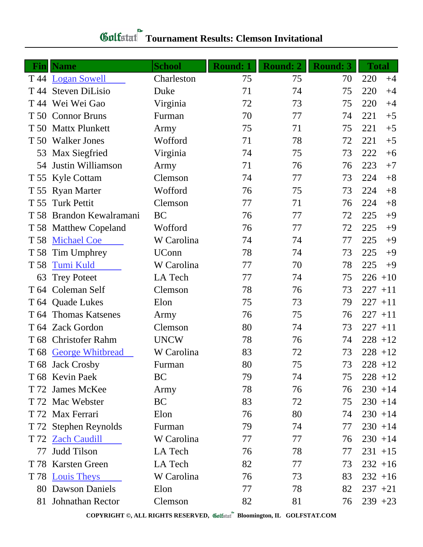| <b>Gulfstat</b> Tournament Results: Clemson Invitational |  |
|----------------------------------------------------------|--|
|                                                          |  |

|      | <b>Fin</b>   Name        | <b>School</b> | <b>Round: 1</b> | <b>Round: 2</b> | <b>Round: 3</b> | <b>Total</b> |
|------|--------------------------|---------------|-----------------|-----------------|-----------------|--------------|
| T 44 | <b>Logan Sowell</b>      | Charleston    | 75              | 75              | 70              | 220<br>$+4$  |
| T 44 | <b>Steven DiLisio</b>    | Duke          | 71              | 74              | 75              | 220<br>$+4$  |
| T 44 | Wei Wei Gao              | Virginia      | 72              | 73              | 75              | 220<br>$+4$  |
| T 50 | <b>Connor Bruns</b>      | Furman        | 70              | 77              | 74              | 221<br>$+5$  |
|      | T 50 Mattx Plunkett      | Army          | 75              | 71              | 75              | 221<br>$+5$  |
| T 50 | <b>Walker Jones</b>      | Wofford       | 71              | 78              | 72              | 221<br>$+5$  |
| 53   | Max Siegfried            | Virginia      | 74              | 75              | 73              | 222<br>$+6$  |
| 54   | Justin Williamson        | Army          | 71              | 76              | 76              | 223<br>$+7$  |
| T 55 | Kyle Cottam              | Clemson       | 74              | 77              | 73              | 224<br>$+8$  |
| T 55 | <b>Ryan Marter</b>       | Wofford       | 76              | 75              | 73              | 224<br>$+8$  |
| T 55 | <b>Turk Pettit</b>       | Clemson       | 77              | 71              | 76              | 224<br>$+8$  |
| T 58 | Brandon Kewalramani      | <b>BC</b>     | 76              | 77              | 72              | 225<br>$+9$  |
| T 58 | <b>Matthew Copeland</b>  | Wofford       | 76              | 77              | 72              | 225<br>$+9$  |
| T 58 | <b>Michael Coe</b>       | W Carolina    | 74              | 74              | 77              | 225<br>$+9$  |
| T 58 | Tim Umphrey              | <b>UConn</b>  | 78              | 74              | 73              | 225<br>$+9$  |
| T 58 | <b>Tumi Kuld</b>         | W Carolina    | 77              | 70              | 78              | 225<br>$+9$  |
| 63   | <b>Trey Poteet</b>       | LA Tech       | 77              | 74              | 75              | $226 + 10$   |
| T 64 | Coleman Self             | Clemson       | 78              | 76              | 73              | 227<br>$+11$ |
|      | T 64 Quade Lukes         | Elon          | 75              | 73              | 79              | $227 + 11$   |
| T 64 | <b>Thomas Katsenes</b>   | Army          | 76              | 75              | 76              | $227 + 11$   |
|      | T 64 Zack Gordon         | Clemson       | 80              | 74              | 73              | $227 + 11$   |
| T 68 | <b>Christofer Rahm</b>   | <b>UNCW</b>   | 78              | 76              | 74              | $228 + 12$   |
|      | T 68 George Whitbread    | W Carolina    | 83              | 72              | 73              | $228 + 12$   |
|      | T 68 Jack Crosby         | Furman        | 80              | 75              | 73              | $228 + 12$   |
|      | T 68 Kevin Paek          | BC            | 79              | 74              | 75              | $228 + 12$   |
|      | T 72 James McKee         | Army          | 78              | 76              | 76              | $230 + 14$   |
|      | T 72 Mac Webster         | <b>BC</b>     | 83              | 72              | 75              | $230 + 14$   |
|      | T 72 Max Ferrari         | Elon          | 76              | 80              | 74              | $230 + 14$   |
|      | T 72 Stephen Reynolds    | Furman        | 79              | 74              | 77              | $230 + 14$   |
|      | T 72 Zach Caudill        | W Carolina    | 77              | 77              | 76              | $230 + 14$   |
| 77   | <b>Judd Tilson</b>       | LA Tech       | 76              | 78              | 77              | $231 + 15$   |
| T 78 | <b>Karsten Green</b>     | LA Tech       | 82              | 77              | 73              | $232 + 16$   |
|      | T 78 Louis Theys         | W Carolina    | 76              | 73              | 83              | $232 + 16$   |
|      | <b>80 Dawson Daniels</b> | Elon          | 77              | 78              | 82              | $237 + 21$   |
|      | 81 Johnathan Rector      | Clemson       | 82              | 81              | 76              | $239 + 23$   |